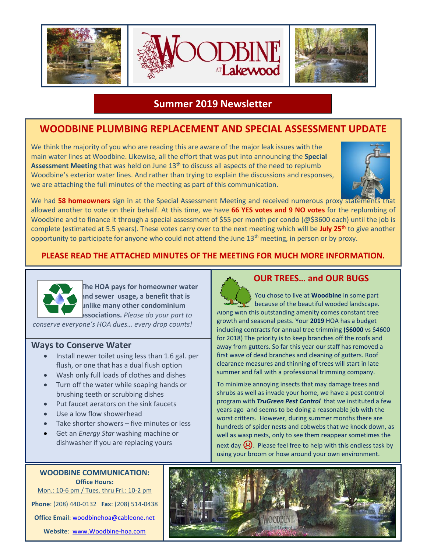

### **Summer 2019 Newsletter**

# **WOODBINE PLUMBING REPLACEMENT AND SPECIAL ASSESSMENT UPDATE**

We think the majority of you who are reading this are aware of the major leak issues with the main water lines at Woodbine. Likewise, all the effort that was put into announcing the **Special Assessment Meeting** that was held on June 13<sup>th</sup> to discuss all aspects of the need to replumb Woodbine's exterior water lines. And rather than trying to explain the discussions and responses, we are attaching the full minutes of the meeting as part of this communication.



We had 58 homeowners sign in at the Special Assessment Meeting and received numerous proxy state allowed another to vote on their behalf. At this time, we have **66 YES votes and 9 NO votes** for the replumbing of Woodbine and to finance it through a special assessment of \$55 per month per condo (@\$3600 each) until the job is complete (estimated at 5.5 years). These votes carry over to the next meeting which will be **July 25th** to give another opportunity to participate for anyone who could not attend the June 13<sup>th</sup> meeting, in person or by proxy.

#### **PLEASE READ THE ATTACHED MINUTES OF THE MEETING FOR MUCH MORE INFORMATION.**



**The HOA pays for homeowner water and sewer usage, a benefit that is unlike many other condominium associations.** *Please do your part to*

*conserve everyone's HOA dues… every drop counts!*

#### **Ways to Conserve Water**

- Install newer toilet using less than 1.6 gal. per flush, or one that has a dual flush option
- Wash only full loads of clothes and dishes
- Turn off the water while soaping hands or brushing teeth or scrubbing dishes
- Put faucet aerators on the sink faucets
- Use a low flow showerhead
- Take shorter showers five minutes or less
- Get an *Energy Star* washing machine or dishwasher if you are replacing yours



#### **OUR TREES… and OUR BUGS**

 You chose to live at **Woodbine** in some part because of the beautiful wooded landscape. Along with this outstanding amenity comes constant tree growth and seasonal pests. Your **2019** HOA has a budget including contracts for annual tree trimming **(\$6000** vs \$4600 for 2018) The priority is to keep branches off the roofs and away from gutters. So far this year our staff has removed a first wave of dead branches and cleaning of gutters. Roof clearance measures and thinning of trees will start in late summer and fall with a professional trimming company.

To minimize annoying insects that may damage trees and shrubs as well as invade your home, we have a pest control program with *TruGreen Pest Control* that we instituted a few years ago and seems to be doing a reasonable job with the worst critters. However, during summer months there are hundreds of spider nests and cobwebs that we knock down, as well as wasp nests, only to see them reappear sometimes the

next day  $\bigcirc$ . Please feel free to help with this endless task by using your broom or hose around your own environment.



**WOODBINE COMMUNICATION: Office Hours:** Mon.: 10-6 pm / Tues. thru Fri.: 10-2 pm

**Phone**: (208) 440-0132 **Fax**: (208) 514-0438

**Office Email**: [woodbinehoa@cableone.net](mailto:woodbinehoa@cableone.net)

**Website**: [www.Woodbine-hoa.com](http://www.woodbine-hoa.com/)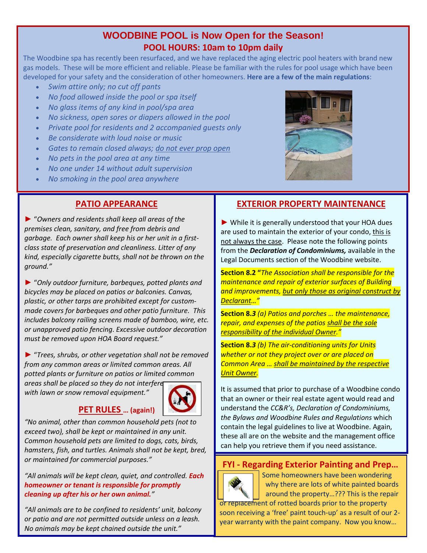# **WOODBINE POOL is Now Open for the Season! POOL HOURS: 10am to 10pm daily**

The Woodbine spa has recently been resurfaced, and we have replaced the aging electric pool heaters with brand new gas models. These will be more efficient and reliable. Please be familiar with the rules for pool usage which have been developed for your safety and the consideration of other homeowners. **Here are a few of the main regulations**:

- *Swim attire only; no cut off pants*
- *No food allowed inside the pool or spa itself*
- *No glass items of any kind in pool/spa area*
- *No sickness, open sores or diapers allowed in the pool*
- *Private pool for residents and 2 accompanied guests only*
- *Be considerate with loud noise or music*
- *Gates to remain closed always; do not ever prop open*
- *No pets in the pool area at any time*
- *No one under 14 without adult supervision*
- *No smoking in the pool area anywhere*

## **PATIO APPEARANCE**

► "*Owners and residents shall keep all areas of the premises clean, sanitary, and free from debris and garbage. Each owner shall keep his or her unit in a firstclass state of preservation and cleanliness. Litter of any kind, especially cigarette butts, shall not be thrown on the ground."*

► "*Only outdoor furniture, barbeques, potted plants and bicycles may be placed on patios or balconies. Canvas, plastic, or other tarps are prohibited except for custommade covers for barbeques and other patio furniture. This includes balcony railing screens made of bamboo, wire, etc. or unapproved patio fencing*. *Excessive outdoor decoration must be removed upon HOA Board request."*

► "*Trees, shrubs, or other vegetation shall not be removed from any common areas or limited common areas. All potted plants or furniture on patios or limited common areas shall be placed so they do not interfere with lawn or snow removal equipment."*



#### **PET RULES … (again!)**

*"No animal, other than common household pets (not to exceed two), shall be kept or maintained in any unit. Common household pets are limited to dogs, cats, birds, hamsters, fish, and turtles. Animals shall not be kept, bred, or maintained for commercial purposes."*

*"All animals will be kept clean, quiet, and controlled. Each homeowner or tenant is responsible for promptly cleaning up after his or her own animal."*

*"All animals are to be confined to residents' unit, balcony or patio and are not permitted outside unless on a leash. No animals may be kept chained outside the unit."*



## **EXTERIOR PROPERTY MAINTENANCE**

► While it is generally understood that your HOA dues are used to maintain the exterior of your condo, this is not always the case. Please note the following points from the *Declaration of Condominiums,* available in the Legal Documents section of the Woodbine website.

**Section 8.2 "***The Association shall be responsible for the maintenance and repair of exterior surfaces of Building and improvements, but only those as original construct by Declarant…"*

**Section 8.***3 (a) Patios and porches … the maintenance, repair, and expenses of the patios shall be the sole responsibility of the individual Owner."*

**Section 8.***3 (b) The air-conditioning units for Units whether or not they project over or are placed on Common Area … shall be maintained by the respective Unit Owner.*

It is assumed that prior to purchase of a Woodbine condo that an owner or their real estate agent would read and understand the *CC&R's, Declaration of Condominiums, the Bylaws and Woodbine Rules and Regulations* which contain the legal guidelines to live at Woodbine. Again, these all are on the website and the management office can help you retrieve them if you need assistance.

## **FYI - Regarding Exterior Painting and Prep…**



 Some homeowners have been wondering why there are lots of white painted boards around the property…??? This is the repair

or replacement of rotted boards prior to the property soon receiving a 'free' paint touch-up' as a result of our 2 year warranty with the paint company. Now you know…